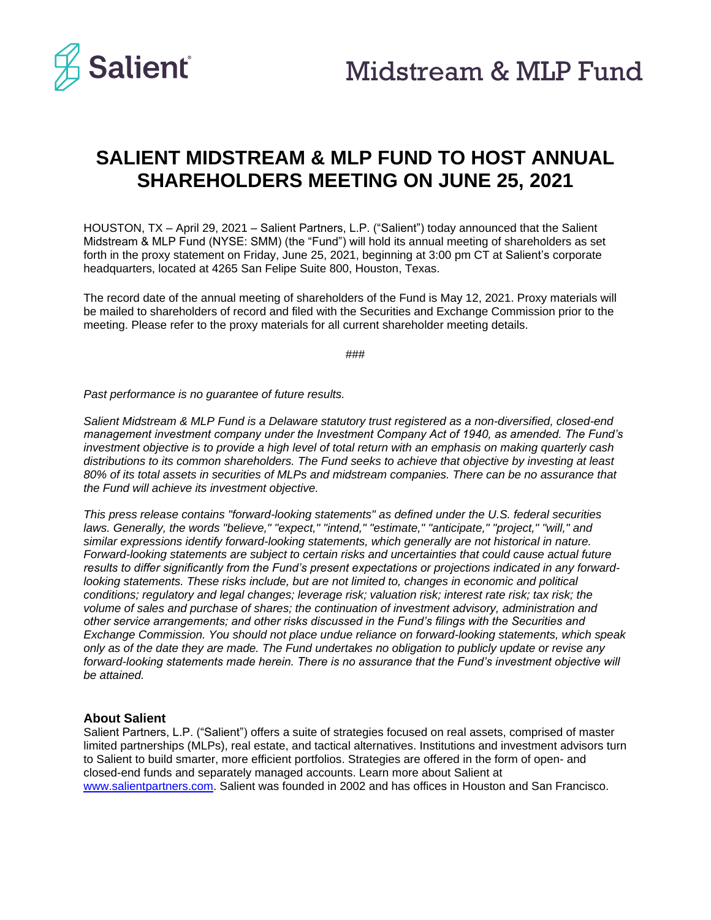

# **SALIENT MIDSTREAM & MLP FUND TO HOST ANNUAL SHAREHOLDERS MEETING ON JUNE 25, 2021**

HOUSTON, TX – April 29, 2021 – Salient Partners, L.P. ("Salient") today announced that the Salient Midstream & MLP Fund (NYSE: SMM) (the "Fund") will hold its annual meeting of shareholders as set forth in the proxy statement on Friday, June 25, 2021, beginning at 3:00 pm CT at Salient's corporate headquarters, located at 4265 San Felipe Suite 800, Houston, Texas.

The record date of the annual meeting of shareholders of the Fund is May 12, 2021. Proxy materials will be mailed to shareholders of record and filed with the Securities and Exchange Commission prior to the meeting. Please refer to the proxy materials for all current shareholder meeting details.

###

*Past performance is no guarantee of future results.*

*Salient Midstream & MLP Fund is a Delaware statutory trust registered as a non-diversified, closed-end management investment company under the Investment Company Act of 1940, as amended. The Fund's investment objective is to provide a high level of total return with an emphasis on making quarterly cash distributions to its common shareholders. The Fund seeks to achieve that objective by investing at least 80% of its total assets in securities of MLPs and midstream companies. There can be no assurance that the Fund will achieve its investment objective.*

*This press release contains "forward-looking statements" as defined under the U.S. federal securities laws. Generally, the words "believe," "expect," "intend," "estimate," "anticipate," "project," "will," and similar expressions identify forward-looking statements, which generally are not historical in nature. Forward-looking statements are subject to certain risks and uncertainties that could cause actual future results to differ significantly from the Fund's present expectations or projections indicated in any forwardlooking statements. These risks include, but are not limited to, changes in economic and political conditions; regulatory and legal changes; leverage risk; valuation risk; interest rate risk; tax risk; the volume of sales and purchase of shares; the continuation of investment advisory, administration and other service arrangements; and other risks discussed in the Fund's filings with the Securities and Exchange Commission. You should not place undue reliance on forward-looking statements, which speak only as of the date they are made. The Fund undertakes no obligation to publicly update or revise any forward-looking statements made herein. There is no assurance that the Fund's investment objective will be attained.*

#### **About Salient**

Salient Partners, L.P. ("Salient") offers a suite of strategies focused on real assets, comprised of master limited partnerships (MLPs), real estate, and tactical alternatives. Institutions and investment advisors turn to Salient to build smarter, more efficient portfolios. Strategies are offered in the form of open- and closed-end funds and separately managed accounts. Learn more about Salient at [www.salientpartners.com.](http://www.salientpartners.com/) Salient was founded in 2002 and has offices in Houston and San Francisco.